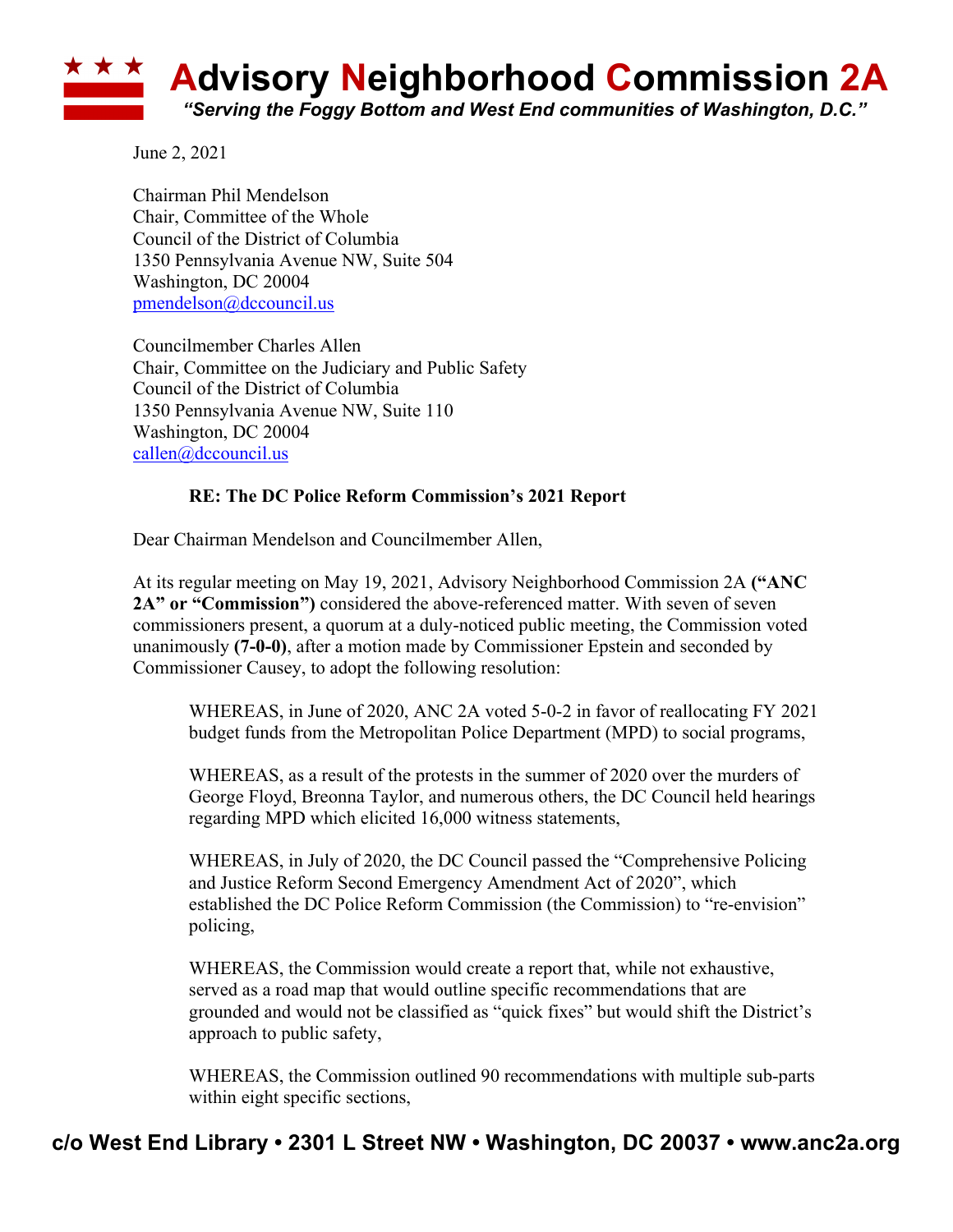

June 2, 2021

Chairman Phil Mendelson Chair, Committee of the Whole Council of the District of Columbia 1350 Pennsylvania Avenue NW, Suite 504 Washington, DC 20004 pmendelson@dccouncil.us

Councilmember Charles Allen Chair, Committee on the Judiciary and Public Safety Council of the District of Columbia 1350 Pennsylvania Avenue NW, Suite 110 Washington, DC 20004 callen@dccouncil.us

## **RE: The DC Police Reform Commission's 2021 Report**

Dear Chairman Mendelson and Councilmember Allen,

At its regular meeting on May 19, 2021, Advisory Neighborhood Commission 2A **("ANC 2A" or "Commission")** considered the above-referenced matter. With seven of seven commissioners present, a quorum at a duly-noticed public meeting, the Commission voted unanimously **(7-0-0)**, after a motion made by Commissioner Epstein and seconded by Commissioner Causey, to adopt the following resolution:

WHEREAS, in June of 2020, ANC 2A voted 5-0-2 in favor of reallocating FY 2021 budget funds from the Metropolitan Police Department (MPD) to social programs,

WHEREAS, as a result of the protests in the summer of 2020 over the murders of George Floyd, Breonna Taylor, and numerous others, the DC Council held hearings regarding MPD which elicited 16,000 witness statements,

WHEREAS, in July of 2020, the DC Council passed the "Comprehensive Policing and Justice Reform Second Emergency Amendment Act of 2020", which established the DC Police Reform Commission (the Commission) to "re-envision" policing,

WHEREAS, the Commission would create a report that, while not exhaustive, served as a road map that would outline specific recommendations that are grounded and would not be classified as "quick fixes" but would shift the District's approach to public safety,

WHEREAS, the Commission outlined 90 recommendations with multiple sub-parts within eight specific sections,